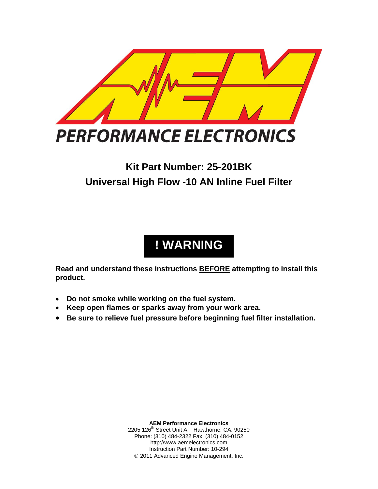

# **Kit Part Number: 25-201BK Universal High Flow -10 AN Inline Fuel Filter**

# **! WARNING**

**Read and understand these instructions BEFORE attempting to install this product.**

- **Do not smoke while working on the fuel system.**
- **Keep open flames or sparks away from your work area.**
- **Be sure to relieve fuel pressure before beginning fuel filter installation.**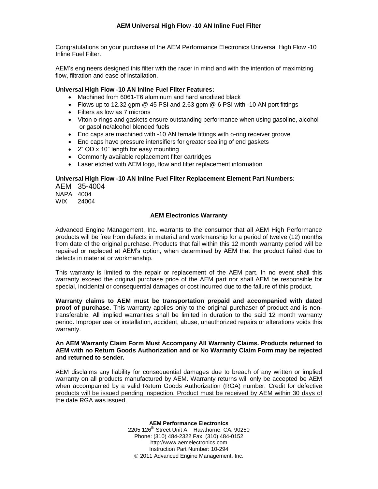### **AEM Universal High Flow -10 AN Inline Fuel Filter**

Congratulations on your purchase of the AEM Performance Electronics Universal High Flow -10 Inline Fuel Filter.

AEM's engineers designed this filter with the racer in mind and with the intention of maximizing flow, filtration and ease of installation.

#### **Universal High Flow -10 AN Inline Fuel Filter Features:**

- Machined from 6061-T6 aluminum and hard anodized black
- Flows up to 12.32 gpm  $@$  45 PSI and 2.63 gpm  $@$  6 PSI with -10 AN port fittings
- Filters as low as 7 microns
- Viton o-rings and gaskets ensure outstanding performance when using gasoline, alcohol or gasoline/alcohol blended fuels
- End caps are machined with -10 AN female fittings with o-ring receiver groove
- End caps have pressure intensifiers for greater sealing of end gaskets
- 2" OD x 10" length for easy mounting
- Commonly available replacement filter cartridges
- Laser etched with AEM logo, flow and filter replacement information

## **Universal High Flow -10 AN Inline Fuel Filter Replacement Element Part Numbers:**

AEM 35-4004 NAPA 4004

WIX 24004

#### **AEM Electronics Warranty**

Advanced Engine Management, Inc. warrants to the consumer that all AEM High Performance products will be free from defects in material and workmanship for a period of twelve (12) months from date of the original purchase. Products that fail within this 12 month warranty period will be repaired or replaced at AEM's option, when determined by AEM that the product failed due to defects in material or workmanship.

This warranty is limited to the repair or replacement of the AEM part. In no event shall this warranty exceed the original purchase price of the AEM part nor shall AEM be responsible for special, incidental or consequential damages or cost incurred due to the failure of this product.

**Warranty claims to AEM must be transportation prepaid and accompanied with dated proof of purchase.** This warranty applies only to the original purchaser of product and is nontransferable. All implied warranties shall be limited in duration to the said 12 month warranty period. Improper use or installation, accident, abuse, unauthorized repairs or alterations voids this warranty.

#### **An AEM Warranty Claim Form Must Accompany All Warranty Claims. Products returned to AEM with no Return Goods Authorization and or No Warranty Claim Form may be rejected and returned to sender.**

AEM disclaims any liability for consequential damages due to breach of any written or implied warranty on all products manufactured by AEM. Warranty returns will only be accepted be AEM when accompanied by a valid Return Goods Authorization (RGA) number. Credit for defective products will be issued pending inspection. Product must be received by AEM within 30 days of the date RGA was issued.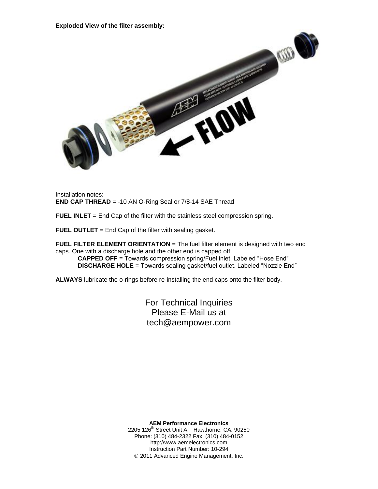**Exploded View of the filter assembly:**



Installation notes: **END CAP THREAD** = -10 AN O-Ring Seal or 7/8-14 SAE Thread

**FUEL INLET** = End Cap of the filter with the stainless steel compression spring.

**FUEL OUTLET** = End Cap of the filter with sealing gasket.

**FUEL FILTER ELEMENT ORIENTATION** = The fuel filter element is designed with two end caps. One with a discharge hole and the other end is capped off.

**CAPPED OFF** = Towards compression spring/Fuel inlet. Labeled "Hose End" **DISCHARGE HOLE** = Towards sealing gasket/fuel outlet. Labeled "Nozzle End"

**ALWAYS** lubricate the o-rings before re-installing the end caps onto the filter body.

For Technical Inquiries Please E-Mail us at tech@aempower.com